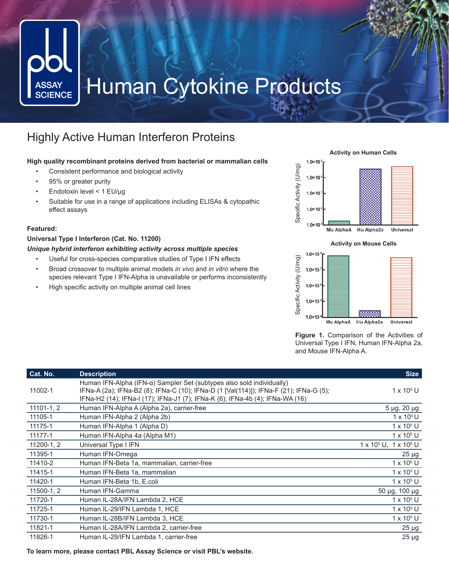# Human Cytokine Products **ASSAY SCIENCE**

## Highly Active Human Interferon Proteins

### **High quality recombinant proteins derived from bacterial or mammalian cells**

- Consistent performance and biological activity
- 95% or greater purity
- Endotoxin level < 1 EU/μg
- Suitable for use in a range of applications including ELISAs & cytopathic effect assays

### **Featured:**

### **Universal Type I Interferon (Cat. No. 11200)**

#### *Unique hybrid interferon exhibiting activity across multiple species*

- Useful for cross-species comparative studies of Type I IFN effects
- Broad crossover to multiple animal models *in vivo* and *in vitro* where the species relevant Type I IFN-Alpha is unavailable or performs inconsistently
- High specific activity on multiple animal cell lines

**Activity on Human Cells**





**Figure 1.** Comparison of the Activities of Universal Type I IFN, Human IFN-Alpha 2a, and Mouse IFN-Alpha A.

| Cat. No.       | <b>Description</b>                                                                                                                                                                                                                               | <b>Size</b>                                  |
|----------------|--------------------------------------------------------------------------------------------------------------------------------------------------------------------------------------------------------------------------------------------------|----------------------------------------------|
| 11002-1        | Human IFN-Alpha (IFN-a) Sampler Set (subtypes also sold individually)<br>IFNa-A (2a); IFNa-B2 (8); IFNa-C (10); IFNa-D (1 [Val(114)]); IFNa-F (21); IFNa-G (5);<br>IFNa-H2 (14); IFNa-I (17); IFNa-J1 (7); IFNa-K (6); IFNa-4b (4); IFNa-WA (16) | $1 \times 10^5$ U                            |
| $11101 - 1, 2$ | Human IFN-Alpha A (Alpha 2a), carrier-free                                                                                                                                                                                                       | 5 µg, 20 µg                                  |
| 11105-1        | Human IFN-Alpha 2 (Alpha 2b)                                                                                                                                                                                                                     | $1 \times 10^5$ U                            |
| 11175-1        | Human IFN-Alpha 1 (Alpha D)                                                                                                                                                                                                                      | $1 \times 10^5$ U                            |
| 11177-1        | Human IFN-Alpha 4a (Alpha M1)                                                                                                                                                                                                                    | $1 \times 10^5$ U                            |
| 11200-1, 2     | Universal Type I IFN                                                                                                                                                                                                                             | 1 x 10 <sup>5</sup> U, 1 x 10 <sup>6</sup> U |
| 11395-1        | Human IFN-Omega                                                                                                                                                                                                                                  | $25 \mu g$                                   |
| 11410-2        | Human IFN-Beta 1a, mammalian, carrier-free                                                                                                                                                                                                       | $1 \times 10^6$ U                            |
| 11415-1        | Human IFN-Beta 1a, mammalian                                                                                                                                                                                                                     | $1 \times 10^5$ U                            |
| 11420-1        | Human IFN-Beta 1b, E.coli                                                                                                                                                                                                                        | $1 \times 10^5$ U                            |
| 11500-1, 2     | Human IFN-Gamma                                                                                                                                                                                                                                  | 50 µg, 100 µg                                |
| 11720-1        | Human IL-28A/IFN Lambda 2, HCE                                                                                                                                                                                                                   | $1 \times 10^5$ U                            |
| 11725-1        | Human IL-29/IFN Lambda 1, HCE                                                                                                                                                                                                                    | $1 \times 10^5$ U                            |
| 11730-1        | Human IL-28B/IFN Lambda 3, HCE                                                                                                                                                                                                                   | $1 \times 10^5$ U                            |
| 11821-1        | Human IL-28A/IFN Lambda 2, carrier-free                                                                                                                                                                                                          | $25 \mu g$                                   |
| 11826-1        | Human IL-29/IFN Lambda 1, carrier-free                                                                                                                                                                                                           | $25 \mu g$                                   |

**To learn more, please contact PBL Assay Science or visit PBL's website.**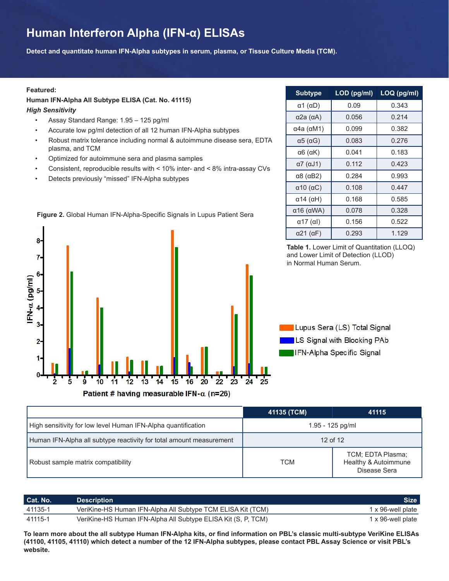# **Human Interferon Alpha (IFN-α) ELISAs**

**Detect and quantitate human IFN-Alpha subtypes in serum, plasma, or Tissue Culture Media (TCM).**

#### **Featured:**

### **Human IFN-Alpha All Subtype ELISA (Cat. No. 41115)**

*High Sensitivity*

- Assay Standard Range: 1.95 125 pg/ml
- Accurate low pg/ml detection of all 12 human IFN-Alpha subtypes
- Robust matrix tolerance including normal & autoimmune disease sera, EDTA plasma, and TCM
- Optimized for autoimmune sera and plasma samples
- Consistent, reproducible results with < 10% inter- and < 8% intra-assay CVs
- Detects previously "missed" IFN-Alpha subtypes





**Subtype LOD (pg/ml) LOQ (pg/ml)**  $\alpha$ 1 (αD)  $\begin{vmatrix} 0.09 & 0.343 \end{vmatrix}$  $\alpha$ 2a (αA)  $\begin{vmatrix} 0.056 & | & 0.214 \end{vmatrix}$  $α4a (αM1)$  0.099 0.382  $\alpha$ 5 (αG)  $\begin{array}{|c|c|c|c|c|} \hline \rule{0pt}{1.5ex} & 0.083 & \multicolumn{1}{|c|}{\ } & 0.276 \hline \end{array}$  $\alpha$ 6 (αK) | 0.041 | 0.183  $\alpha$ 7 (αJ1) | 0.112 | 0.423  $\alpha$ 8 ( $\alpha$ B2) | 0.284 | 0.993  $\alpha$ 10 (αC)  $\begin{array}{|c|c|c|c|c|} \hline 0.108 & 0.447 \ \hline \end{array}$  $\alpha$ 14 (αH)  $\begin{array}{|c|c|c|c|c|} \hline \rule{0pt}{1.1ex}\quad\quad&0.168\quad\quad&0.585\quad\quad&\quad&0.585\quad\quad&\quad&0.585\quad&\quad&0.580\quad&\quad&0.580\quad&0.580\quad&0.580\quad&0.580\quad&0.580\quad&0.580\quad&0.580\quad&0.580\quad&0.580\quad&0.580\quad&0.580\quad&0.580\quad&0.580\quad&0.580\quad&0.$  $\alpha$ 16 (αWA) 0.078 0.328  $\alpha$ 17 (αl) 0.156 0.522  $\alpha$ 21 (αF)  $\begin{array}{|c|c|c|c|c|} \hline \rule{0pt}{1.2ex} & 0.293 & \multicolumn{1}{|c|}{ } \end{array}$  1.129

**Table 1.** Lower Limit of Quantitation (LLOQ) and Lower Limit of Detection (LLOD) in Normal Human Serum.

Lupus Sera (LS) Total Signal **B.** LS Signal with Blocking PAb **IFN-Alpha Specific Signal** 

|                                                                     | 41135 (TCM)      | 41115                                                     |
|---------------------------------------------------------------------|------------------|-----------------------------------------------------------|
| High sensitivity for low level Human IFN-Alpha quantification       | 1.95 - 125 pg/ml |                                                           |
| Human IFN-Alpha all subtype reactivity for total amount measurement | 12 of 12         |                                                           |
| Robust sample matrix compatibility                                  | TCM              | TCM; EDTA Plasma;<br>Healthy & Autoimmune<br>Disease Sera |

| Cat. No. | <b>Description</b>                                            | Size 1            |
|----------|---------------------------------------------------------------|-------------------|
| 41135-1  | VeriKine-HS Human IFN-Alpha All Subtype TCM ELISA Kit (TCM)   | 1 x 96-well plate |
| 41115-1  | VeriKine-HS Human IFN-Alpha All Subtype ELISA Kit (S, P, TCM) | 1 x 96-well plate |

**To learn more about the all subtype Human IFN-Alpha kits, or find information on PBL's classic multi-subtype VeriKine ELISAs (41100, 41105, 41110) which detect a number of the 12 IFN-Alpha subtypes, please contact PBL Assay Science or visit PBL's website.**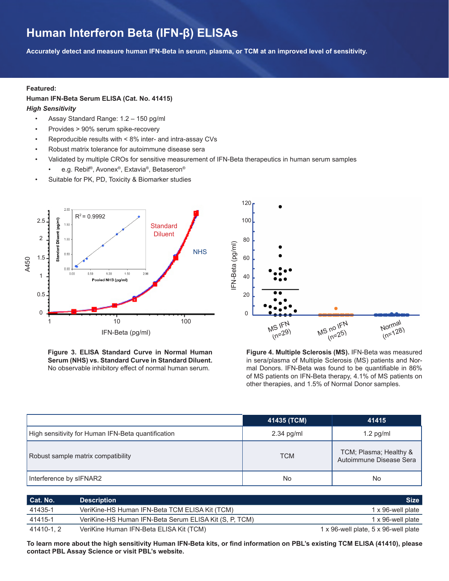### **Human Interferon Beta (IFN-β) ELISAs**

**Accurately detect and measure human IFN-Beta in serum, plasma, or TCM at an improved level of sensitivity.**

#### **Featured:**

#### **Human IFN-Beta Serum ELISA (Cat. No. 41415)**

*High Sensitivity*

- Assay Standard Range: 1.2 150 pg/ml
- Provides > 90% serum spike-recovery
- Reproducible results with < 8% inter- and intra-assay CVs
- Robust matrix tolerance for autoimmune disease sera
- Validated by multiple CROs for sensitive measurement of IFN-Beta therapeutics in human serum samples
	- e.g. Rebif®, Avonex®, Extavia®, Betaseron®
- Suitable for PK, PD, Toxicity & Biomarker studies



**Figure 3. ELISA Standard Curve in Normal Human Serum (NHS) vs. Standard Curve in Standard Diluent.** No observable inhibitory effect of normal human serum.



**Figure 4. Multiple Sclerosis (MS).** IFN-Beta was measured in sera/plasma of Multiple Sclerosis (MS) patients and Normal Donors. IFN-Beta was found to be quantifiable in 86% of MS patients on IFN-Beta therapy, 4.1% of MS patients on other therapies, and 1.5% of Normal Donor samples.

|                                                    | 41435 (TCM)  | 41415                                             |
|----------------------------------------------------|--------------|---------------------------------------------------|
| High sensitivity for Human IFN-Beta quantification | $2.34$ pg/ml | $1.2$ pg/ml                                       |
| Robust sample matrix compatibility                 | <b>TCM</b>   | TCM; Plasma; Healthy &<br>Autoimmune Disease Sera |
| Interference by sIFNAR2                            | No           | No                                                |

| Cat. No.  | <b>Description</b>                                     | <b>Size</b>                          |
|-----------|--------------------------------------------------------|--------------------------------------|
| 41435-1   | VeriKine-HS Human IFN-Beta TCM ELISA Kit (TCM)         | 1 x 96-well plate                    |
| 41415-1   | VeriKine-HS Human IFN-Beta Serum ELISA Kit (S, P, TCM) | 1 x 96-well plate                    |
| 41410-1.2 | VeriKine Human IFN-Beta ELISA Kit (TCM)                | 1 x 96-well plate, 5 x 96-well plate |

**To learn more about the high sensitivity Human IFN-Beta kits, or find information on PBL's existing TCM ELISA (41410), please contact PBL Assay Science or visit PBL's website.**